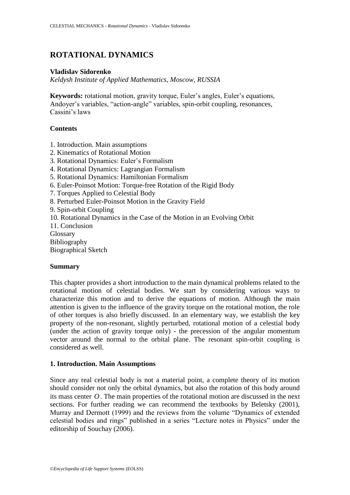# **ROTATIONAL DYNAMICS**

## **Vladislav Sidorenko**

*Keldysh Institute of Applied Mathematics, Moscow, RUSSIA*

**Keywords:** rotational motion, gravity torque, Euler's angles, Euler's equations, Andoyer's variables, "action-angle" variables, spin-orbit coupling, resonances, Cassini's laws

# **Contents**

- 1. Introduction. Main assumptions
- 2. Kinematics of Rotational Motion
- 3. Rotational Dynamics: Euler's Formalism
- 4. Rotational Dynamics: Lagrangian Formalism
- 5. Rotational Dynamics: Hamiltonian Formalism
- 6. Euler-Poinsot Motion: Torque-free Rotation of the Rigid Body
- 7. Torques Applied to Celestial Body
- 8. Perturbed Euler-Poinsot Motion in the Gravity Field

9. Spin-orbit Coupling

- 10. Rotational Dynamics in the Case of the Motion in an Evolving Orbit
- 11. Conclusion
- **Glossary** Bibliography

Biographical Sketch

# **Summary**

This chapter provides a short introduction to the main dynamical problems related to the rotational motion of celestial bodies. We start by considering various ways to characterize this motion and to derive the equations of motion. Although the main attention is given to the influence of the gravity torque on the rotational motion, the role of other torques is also briefly discussed. In an elementary way, we establish the key property of the non-resonant, slightly perturbed, rotational motion of a celestial body (under the action of gravity torque only) - the precession of the angular momentum vector around the normal to the orbital plane. The resonant spin-orbit coupling is considered as well.

### **1. Introduction. Main Assumptions**

Since any real celestial body is not a material point, a complete theory of its motion should consider not only the orbital dynamics, but also the rotation of this body around its mass center *O* . The main properties of the rotational motion are discussed in the next sections. For further reading we can recommend the textbooks by Beletsky (2001), Murray and Dermott (1999) and the reviews from the volume "Dynamics of extended celestial bodies and rings" published in a series "Lecture notes in Physics" under the editorship of Souchay (2006).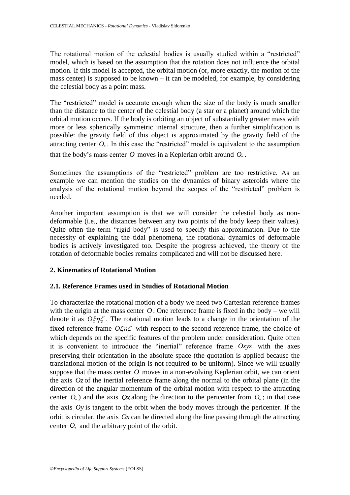The rotational motion of the celestial bodies is usually studied within a "restricted" model, which is based on the assumption that the rotation does not influence the orbital motion. If this model is accepted, the orbital motion (or, more exactly, the motion of the mass center) is supposed to be known – it can be modeled, for example, by considering the celestial body as a point mass.

The "restricted" model is accurate enough when the size of the body is much smaller than the distance to the center of the celestial body (a star or a planet) around which the orbital motion occurs. If the body is orbiting an object of substantially greater mass with more or less spherically symmetric internal structure, then a further simplification is possible: the gravity field of this object is approximated by the gravity field of the attracting center  $O_*$ . In this case the "restricted" model is equivalent to the assumption that the body's mass center  $O$  moves in a Keplerian orbit around  $O_*$ .

Sometimes the assumptions of the "restricted" problem are too restrictive. As an example we can mention the studies on the dynamics of binary asteroids where the analysis of the rotational motion beyond the scopes of the "restricted" problem is needed.

Another important assumption is that we will consider the celestial body as nondeformable (i.e., the distances between any two points of the body keep their values). Quite often the term "rigid body" is used to specify this approximation. Due to the necessity of explaining the tidal phenomena, the rotational dynamics of deformable bodies is actively investigated too. Despite the progress achieved, the theory of the rotation of deformable bodies remains complicated and will not be discussed here.

# **2. Kinematics of Rotational Motion**

# **2.1. Reference Frames used in Studies of Rotational Motion**

To characterize the rotational motion of a body we need two Cartesian reference frames with the origin at the mass center  $O$ . One reference frame is fixed in the body – we will denote it as  $O\xi\eta\zeta$ . The rotational motion leads to a change in the orientation of the fixed reference frame  $O\xi\eta\zeta$  with respect to the second reference frame, the choice of which depends on the specific features of the problem under consideration. Quite often it is convenient to introduce the "inertial" reference frame *Oxyz* with the axes preserving their orientation in the absolute space (the quotation is applied because the translational motion of the origin is not required to be uniform). Since we will usually suppose that the mass center  $O$  moves in a non-evolving Keplerian orbit, we can orient the axis  $Oz$  of the inertial reference frame along the normal to the orbital plane (in the direction of the angular momentum of the orbital motion with respect to the attracting center  $O_*$ ) and the axis  $Ox$  along the direction to the pericenter from  $O_*$ ; in that case the axis *Oy* is tangent to the orbit when the body moves through the pericenter. If the orbit is circular, the axis  $Ox$  can be directed along the line passing through the attracting center  $O_*$  and the arbitrary point of the orbit.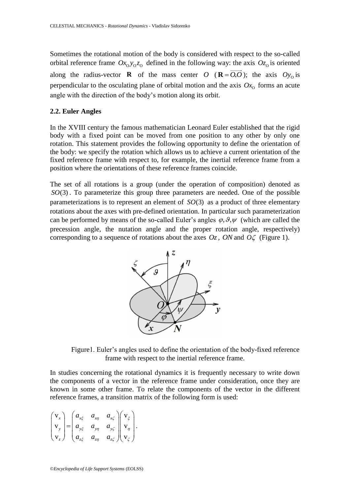Sometimes the rotational motion of the body is considered with respect to the so-called orbital reference frame  $Ox_0y_0z_0$  defined in the following way: the axis  $Oz_0$  is oriented along the radius-vector **R** of the mass center O ( $\mathbf{R} = O_*O$ ); the axis  $Oy_0$  is perpendicular to the osculating plane of orbital motion and the axis  $Ox_0$  forms an acute angle with the direction of the body's motion along its orbit.

#### **2.2. Euler Angles**

In the XVIII century the famous mathematician Leonard Euler established that the rigid body with a fixed point can be moved from one position to any other by only one rotation. This statement provides the following opportunity to define the orientation of the body: we specify the rotation which allows us to achieve a current orientation of the fixed reference frame with respect to, for example, the inertial reference frame from a position where the orientations of these reference frames coincide.

The set of all rotations is a group (under the operation of composition) denoted as *SO*(3) . To parameterize this group three parameters are needed. One of the possible parameterizations is to represent an element of *SO*(3) as a product of three elementary rotations about the axes with pre-defined orientation. In particular such parameterization can be performed by means of the so-called Euler's angles  $\varphi$ ,  $\vartheta$ ,  $\psi$  (which are called the precession angle, the nutation angle and the proper rotation angle, respectively) corresponding to a sequence of rotations about the axes  $O_z$ , *ON* and  $O\zeta$  (Figure 1).



Figure1. Euler's angles used to define the orientation of the body-fixed reference frame with respect to the inertial reference frame.

In studies concerning the rotational dynamics it is frequently necessary to write down the components of a vector in the reference frame under consideration, once they are known in some other frame. To relate the components of the vector in the different reference frames, a transition matrix of the following form is used:

$$
\begin{pmatrix} \mathbf{v}_x \\ \mathbf{v}_y \\ \mathbf{v}_z \end{pmatrix} = \begin{pmatrix} a_{x\xi} & a_{x\eta} & a_{x\zeta} \\ a_{y\xi} & a_{y\eta} & a_{y\zeta} \\ a_{z\xi} & a_{z\eta} & a_{z\zeta} \end{pmatrix} \begin{pmatrix} \mathbf{v}_\xi \\ \mathbf{v}_\eta \\ \mathbf{v}_\zeta \end{pmatrix}.
$$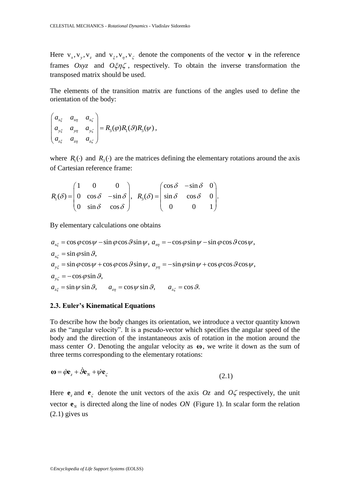Here  $v_x$ ,  $v_y$ ,  $v_z$  and  $v_\xi$ ,  $v_\eta$ ,  $v_\zeta$  denote the components of the vector **v** in the reference frames  $Oxyz$  and  $O\zeta\eta\zeta$ , respectively. To obtain the inverse transformation the transposed matrix should be used.

The elements of the transition matrix are functions of the angles used to define the orientation of the body:

$$
\begin{pmatrix} a_{x\xi} & a_{x\eta} & a_{x\zeta} \\ a_{y\xi} & a_{y\eta} & a_{y\xi} \\ a_{z\xi} & a_{z\eta} & a_{z\xi} \end{pmatrix} = R_3(\varphi)R_1(\vartheta)R_3(\psi),
$$

where  $R_1(\cdot)$  and  $R_3(\cdot)$  are the matrices defining the elementary rotations around the axis of Cartesian reference frame:

of Cartesian reference frame:  
\n
$$
R_1(\delta) = \begin{pmatrix} 1 & 0 & 0 \\ 0 & \cos \delta & -\sin \delta \\ 0 & \sin \delta & \cos \delta \end{pmatrix}, \quad R_3(\delta) = \begin{pmatrix} \cos \delta & -\sin \delta & 0 \\ \sin \delta & \cos \delta & 0 \\ 0 & 0 & 1 \end{pmatrix}.
$$

By elementary calculations one obtains

By elementary calculations one obtains  
\n
$$
a_{x\xi} = \cos \varphi \cos \psi - \sin \varphi \cos \vartheta \sin \psi, \quad a_{x\eta} = -\cos \varphi \sin \psi - \sin \varphi \cos \vartheta \cos \psi,
$$
\n
$$
a_{x\zeta} = \sin \varphi \sin \vartheta,
$$
\n
$$
a_{y\xi} = \sin \varphi \cos \psi + \cos \varphi \cos \vartheta \sin \psi, \quad a_{y\eta} = -\sin \varphi \sin \psi + \cos \varphi \cos \vartheta \cos \psi,
$$
\n
$$
a_{y\zeta} = -\cos \varphi \sin \vartheta,
$$
\n
$$
a_{z\xi} = \sin \psi \sin \vartheta, \qquad a_{z\eta} = \cos \psi \sin \vartheta, \qquad a_{z\zeta} = \cos \vartheta.
$$

#### **2.3. Euler's Kinematical Equations**

To describe how the body changes its orientation, we introduce a vector quantity known as the "angular velocity". It is a pseudo-vector which specifies the angular speed of the body and the direction of the instantaneous axis of rotation in the motion around the mass center  $O$ . Denoting the angular velocity as  $\omega$ , we write it down as the sum of three terms corresponding to the elementary rotations:

$$
\mathbf{\omega} = \dot{\phi} \mathbf{e}_z + \dot{\phi} \mathbf{e}_N + \dot{\psi} \mathbf{e}_\zeta \tag{2.1}
$$

Here  $\mathbf{e}_z$  and  $\mathbf{e}_\zeta$  denote the unit vectors of the axis Oz and O $\zeta$  respectively, the unit vector  $\mathbf{e}_N$  is directed along the line of nodes *ON* (Figure 1). In scalar form the relation (2.1) gives us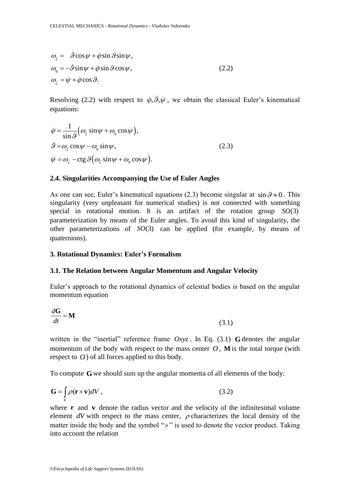$$
\omega_{\xi} = \dot{\theta} \cos \psi + \dot{\phi} \sin \theta \sin \psi, \n\omega_{\eta} = -\dot{\theta} \sin \psi + \dot{\phi} \sin \theta \cos \psi, \n\omega_{\zeta} = \dot{\psi} + \dot{\phi} \cos \theta.
$$
\n(2.2)

Resolving (2.2) with respect to  $\dot{\varphi}, \vartheta, \dot{\psi}$ , we obtain the classical Euler's kinematical equations:

$$
\dot{\varphi} = \frac{1}{\sin \vartheta} \Big( \omega_{\xi} \sin \psi + \omega_{\eta} \cos \psi \Big),
$$
  
\n
$$
\dot{\vartheta} = \omega_{\xi} \cos \psi - \omega_{\eta} \sin \psi,
$$
  
\n
$$
\dot{\psi} = \omega_{\zeta} - \text{ctg } \vartheta \Big( \omega_{\xi} \sin \psi + \omega_{\eta} \cos \psi \Big).
$$
\n(2.3)

#### **2.4. Singularities Accompanying the Use of Euler Angles**

As one can see, Euler's kinematical equations (2.3) become singular at  $\sin \theta \approx 0$ . This singularity (very unpleasant for numerical studies) is not connected with something special in rotational motion. It is an artifact of the rotation group *SO*(3) parameterization by means of the Euler angles. To avoid this kind of singularity, the other parameterizations of *SO*(3) can be applied (for example, by means of quaternions).

#### **3. Rotational Dynamics: Euler's Formalism**

#### **3.1. The Relation between Angular Momentum and Angular Velocity**

Euler's approach to the rotational dynamics of celestial bodies is based on the angular momentum equation

$$
\frac{d\mathbf{G}}{dt} = \mathbf{M} \tag{3.1}
$$

written in the "inertial" reference frame  $Oxyz$ . In Eq. (3.1) **G** denotes the angular momentum of the body with respect to the mass center  $O$ , M is the total torque (with respect to  $O$ ) of all forces applied to this body.

To compute **G** we should sum up the angular momenta of all elements of the body:

$$
\mathbf{G} = \int_{V} \rho(\mathbf{r} \times \mathbf{v}) dV , \qquad (3.2)
$$

where **r** and **v** denote the radius vector and the velocity of the infinitesimal volume element  $dV$  with respect to the mass center,  $\rho$  characterizes the local density of the matter inside the body and the symbol " $\times$ " is used to denote the vector product. Taking into account the relation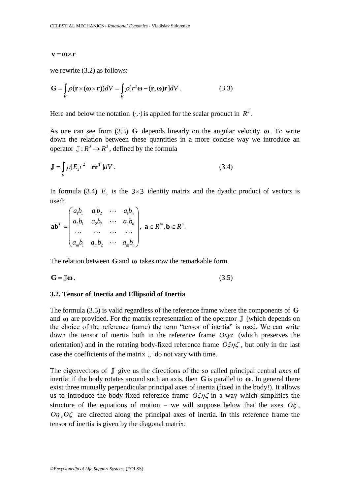we rewrite (3.2) as follows:

we rewrite (3.2) as follows:  
\n
$$
\mathbf{G} = \int_{V} \rho(\mathbf{r} \times (\mathbf{\omega} \times \mathbf{r}))dV = \int_{V} \rho[r^{2}\mathbf{\omega} - (\mathbf{r}, \mathbf{\omega})\mathbf{r}]dV.
$$
\n(3.3)

Here and below the notation  $( \cdot, \cdot )$  is applied for the scalar product in  $\mathbb{R}^3$ .

As one can see from (3.3) **G** depends linearly on the angular velocity  $\omega$ . To write down the relation between these quantities in a more concise way we introduce an operator  $\mathbb{J}: R^3 \to R^3$ , defined by the formula

$$
\mathbb{J} = \int_{V} \rho [E_3 r^2 - \mathbf{r} \mathbf{r}^{\mathrm{T}}] dV . \tag{3.4}
$$

In formula (3.4)  $E_3$  is the  $3\times 3$  identity matrix and the dyadic product of vectors is used:

used:  
\n
$$
\mathbf{a}\mathbf{b}^T = \begin{pmatrix} a_1b_1 & a_1b_2 & \cdots & a_1b_n \\ a_2b_1 & a_2b_2 & \cdots & a_2b_n \\ \cdots & \cdots & \cdots & \cdots \\ a_mb_1 & a_mb_2 & \cdots & a_mb_n \end{pmatrix}, \mathbf{a} \in R^m, \mathbf{b} \in R^n.
$$

The relation between **G** and **ω** takes now the remarkable form

$$
\mathbf{G} = \mathbb{J}\mathbf{\omega}.\tag{3.5}
$$

### **3.2. Tensor of Inertia and Ellipsoid of Inertia**

The formula (3.5) is valid regardless of the reference frame where the components of **G** and  $\omega$  are provided. For the matrix representation of the operator  $\mathbb J$  (which depends on the choice of the reference frame) the term "tensor of inertia" is used. We can write down the tensor of inertia both in the reference frame *Oxyz* (which preserves the orientation) and in the rotating body-fixed reference frame  $O\xi\eta\zeta$ , but only in the last case the coefficients of the matrix  $\mathbb J$  do not vary with time.

**v** =  $\omega \times r$ <br>
we rewrite (3.2) as follows:<br>  $G = \int_{v} \rho(r \times (\omega \times r))dV = \int_{v} \rho[r^{2}\omega$ <br>
Here and below the notation (.,.)<br>
As one can see from (3.3) **G** (down the relation between thes<br>
operator  $J : R^{3} \rightarrow R^{3}$ , defined by<br>  $J = \$ The eigenvectors of  $\mathbb J$  give us the directions of the so called principal central axes of inertia: if the body rotates around such an axis, then  $G$  is parallel to  $\omega$ . In general there exist three mutually perpendicular principal axes of inertia (fixed in the body!). It allows us to introduce the body-fixed reference frame  $O\xi\eta\zeta$  in a way which simplifies the structure of the equations of motion – we will suppose below that the axes  $O\xi$ ,  $O\eta$ ,  $O\zeta$  are directed along the principal axes of inertia. In this reference frame the tensor of inertia is given by the diagonal matrix: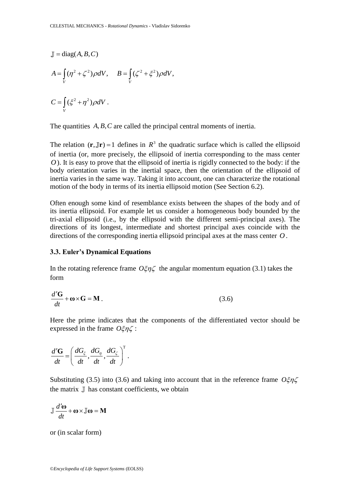$$
\mathbb{J} = \text{diag}(A, B, C)
$$
\n
$$
A = \int_{V} (\eta^2 + \zeta^2) \rho dV, \quad B = \int_{V} (\zeta^2 + \zeta^2) \rho dV,
$$
\n
$$
C = \int_{V} (\zeta^2 + \eta^2) \rho dV.
$$
\nThe quantities *A, B, C* are called the principal-  
\nThe relation  $(\mathbf{r}, \mathbf{J}\mathbf{r}) = 1$  defines in  $R^3$  the qua-  
\nof inertia (or, more precisely, the ellipsoid of  
\n*O*). It is easy to prove that the ellipsoid of in  
\nbody orientation varies in the inertial space  
\ninertia varies in the same way. Taking it into a  
\nmotion of the body in terms of its inertia ellipse  
\nOften enough some kind of resemblance exist  
\nits inertia ellipsoid. For example let us consist  
\ntri-axial ellipsoid (i.e., by the ellipsoid with  
\ndirections of its longest, intermediate and s  
\ndirections of the corresponding inertia ellipsoid  
\n3.3. Euler's Dynamical Equations  
\nIn the rotating reference frame  $O\xi\eta\zeta$  the ang  
\nform  
\n
$$
\frac{d'G}{dt} + \omega \times G = M.
$$
\nHere the prime indicates that the component  
\nexpressed in the frame  $O\xi\eta\zeta$ :  
\n
$$
\frac{d'G}{dt} = \left(\frac{dG_{\zeta}}{dt}, \frac{dG_{\eta}}{dt}, \frac{dG_{\zeta}}{dt}\right)^T.
$$
\nSubstituting (3.5) into (3.6) and taking into a  
\nthe matrix  $\mathbb{J}$  has constant coefficients, we obt  
\n
$$
\mathbb{J} \frac{d'\omega}{dt} + \omega \times \mathbb{J}\omega = M
$$
\nor (in scalar form)  
\n
$$
\mathbb{Q}E_{n\zeta} \omega_{\zeta} \frac{d\omega}{dt} = \mathbb{I} \frac{d\omega}{dt} \omega_{\zeta} \frac{d\omega}{dt}
$$
\n
$$
\mathbb{Q}E_{n\zeta} \omega_{\zeta} \frac{d\omega}{dt} = \mathbb{I} \frac{d\omega}{dt} \omega_{\zeta} \frac{d\omega}{dt}
$$
\n
$$
\mathbb{Q}E_{n\zeta} \frac{d\omega}{dt} \frac{d\omega}{dt} \frac{d\omega}{dt} \frac{d\omega}{dt} \frac{d\omega}{
$$

The quantities  $A, B, C$  are called the principal central moments of inertia.

The relation  $(\mathbf{r}, \mathbf{J}\mathbf{r}) = 1$  defines in  $\mathbf{R}^3$  the quadratic surface which is called the ellipsoid of inertia (or, more precisely, the ellipsoid of inertia corresponding to the mass center *O* ). It is easy to prove that the ellipsoid of inertia is rigidly connected to the body: if the body orientation varies in the inertial space, then the orientation of the ellipsoid of inertia varies in the same way. Taking it into account, one can characterize the rotational motion of the body in terms of its inertia ellipsoid motion (See Section 6.2).

Often enough some kind of resemblance exists between the shapes of the body and of its inertia ellipsoid. For example let us consider a homogeneous body bounded by the tri-axial ellipsoid (i.e., by the ellipsoid with the different semi-principal axes). The directions of its longest, intermediate and shortest principal axes coincide with the directions of the corresponding inertia ellipsoid principal axes at the mass center *O*.

#### **3.3. Euler's Dynamical Equations**

In the rotating reference frame  $O\xi\eta\zeta$  the angular momentum equation (3.1) takes the form

$$
\frac{d'G}{dt} + \mathbf{\omega} \times \mathbf{G} = \mathbf{M} \,. \tag{3.6}
$$

Here the prime indicates that the components of the differentiated vector should be expressed in the frame  $\hat{\sigma} \xi \eta \zeta$ :

$$
\frac{d'\mathbf{G}}{dt} = \left(\frac{dG_{\xi}}{dt}, \frac{dG_{\eta}}{dt}, \frac{dG_{\zeta}}{dt}\right)^{\mathrm{T}}.
$$

Substituting (3.5) into (3.6) and taking into account that in the reference frame  $O\xi\eta\zeta$ the matrix  $\mathbb J$  has constant coefficients, we obtain

$$
\mathbb{J}\frac{d'\omega}{dt} + \omega \times \mathbb{J}\omega = \mathbf{M}
$$

or (in scalar form)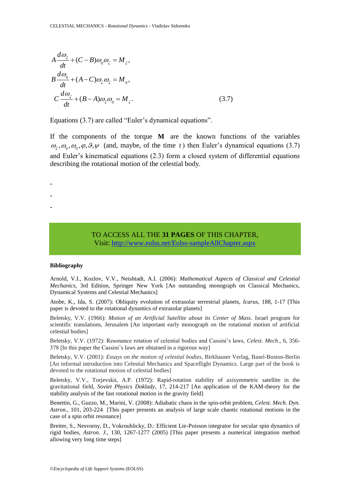$$
A \frac{d\omega_z}{dt} + (C - B)\omega_{\eta}\omega_{\zeta} = M_{\xi},
$$
\n
$$
B \frac{d\omega_{\eta}}{dt} + (A - C)\omega_{\zeta}\omega_{\zeta} = M_{\eta},
$$
\n
$$
C \frac{d\omega_{\zeta}}{dt} + (B - A)\omega_{\zeta}\omega_{\eta} = M_{\zeta}.
$$
\n(d) 3.7)   
\nEquations (3.7) are called "Euler's dynamical equations".  
\nIf the components of the torque **M** are the known functor  $\omega_{\zeta}, \omega_{\eta}, \omega_{\eta}, \varphi, \varphi, \psi$  (and, maybe, of the time *t*) then Euler's dy  
\nand Euler's kinematical equations (2.3) form a closed system of  
\ndescribing the rotational motion of the celestial body.  
\n
$$
T\Omega
$$
\n
$$
T\Omega
$$
\n
$$
T\Omega
$$
\n
$$
T\Omega
$$
\n
$$
T\Omega
$$
\n
$$
T\Omega
$$
\n
$$
T\Omega
$$
\n
$$
T\Omega
$$
\n
$$
T\Omega
$$
\n
$$
T\Omega
$$
\n
$$
T\Omega
$$
\n
$$
T\Omega
$$
\n
$$
T\Omega
$$
\n
$$
T\Omega
$$
\n
$$
T\Omega
$$
\n
$$
T\Omega
$$
\n
$$
T\Omega
$$
\n
$$
T\Omega
$$
\n
$$
T\Omega
$$
\n
$$
T\Omega
$$
\n
$$
T\Omega
$$
\n
$$
T\Omega
$$
\n
$$
T\Omega
$$
\n
$$
T\Omega
$$
\n
$$
T\Omega
$$
\n
$$
T\Omega
$$
\n
$$
T\Omega
$$
\n
$$
T\Omega
$$
\n
$$
T\Omega
$$
\n
$$
T\Omega
$$
\n
$$
T\Omega
$$
\n
$$
T\Omega
$$
\n
$$
T\Omega
$$
\n
$$
T\Omega
$$
\n
$$
T\Omega
$$
\n
$$
T\Omega
$$
\n
$$
T\Omega
$$
\n
$$
T
$$

Equations (3.7) are called "Euler's dynamical equations".

If the components of the torque **M** are the known functions of the variables  $\omega_{\xi}, \omega_{\eta}, \omega_{\eta}, \varphi, \vartheta, \psi$  (and, maybe, of the time t) then Euler's dynamical equations (3.7) and Euler's kinematical equations (2.3) form a closed system of differential equations describing the rotational motion of the celestial body.

> TO ACCESS ALL THE **31 PAGES** OF THIS CHAPTER, Visit[: http://www.eolss.net/Eolss-sampleAllChapter.aspx](https://www.eolss.net/ebooklib/sc_cart.aspx?File=E6-119-55-11)

#### **Bibliography**

- - -

Arnold, V.I., Kozlov, V.V., Neishtadt, A.I. (2006): *Mathematical Aspects of Classical and Celestial Mechanics*, 3rd Edition, Springer New York [An outstanding monograph on Classical Mechanics, Dynamical Systems and Celestial Mechanics]

Atobe, K., Ida, S. (2007): Obliquity evolution of extrasolar terrestrial planets, *Icarus*, 188, 1-17 [This paper is devoted to the rotational dynamics of extrasolar planets]

Beletsky, V.V. (1966): *Motion of an Artificial Satellite about its Center of Mass*. Israel program for scientific translations, Jerusalem [An important early monograph on the rotational motion of artificial celestial bodies]

Beletsky, V.V. (1972): Resonance rotation of celestial bodies and Cassini's laws, *Celest. Mech*., 6, 356- 378 [In this paper the Cassini's laws are obtained in a rigorous way]

Beletsky, V.V. (2001): *Essays on the motion of celestial bodies*, Birkhauser Verlag, Basel-Boston-Berlin [An informal introduction into Celestial Mechanics and Spaceflight Dynamics. Large part of the book is devoted to the rotational motion of celestial bodies]

Beletsky, V.V., Torjevskii, A.P. (1972): Rapid-rotation stability of axisymmetric satellite in the gravitational field, *Soviet Physics Doklady*, 17, 214-217 [An application of the KAM-theory for the stability analysis of the fast rotational motion in the gravity field]

Benettin, G., Guzzo, M., Marini, V. (2008): Adiabatic chaos in the spin-orbit problem, *Celest. Mech. Dyn. Astron*., 101, 203-224 [This paper presents an analysis of large scale chaotic rotational motions in the case of a spin orbit resonance]

Breiter, S., Nesvorny, D., Vokrouhlicky, D.: Efficient Lie-Poisson integrator for secular spin dynamics of rigid bodies, *Astron. J.*, 130, 1267-1277 (2005) [This paper presents a numerical integration method allowing very long time steps]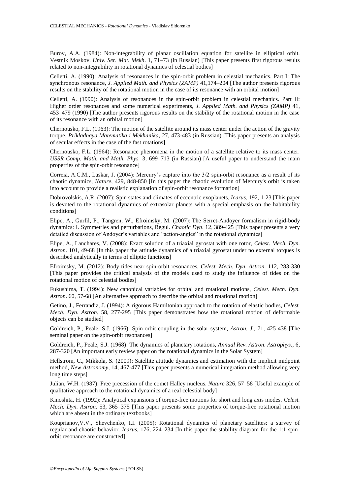Burov, A.A. (1984): Non-integrability of planar oscillation equation for satellite in elliptical orbit. Vestnik Moskov. *Univ. Ser. Mat. Mekh*. 1, 71–73 (in Russian) [This paper presents first rigorous results related to non-integrability in rotational dynamics of celestial bodies]

Celletti, A. (1990): Analysis of resonances in the spin-orbit problem in celestial mechanics. Part I: The synchronous resonance, *J. Applied Math. and Physics (ZAMP)* 41,174–204 [The author presents rigorous results on the stability of the rotational motion in the case of its resonance with an orbital motion]

Celletti, A. (1990): Analysis of resonances in the spin-orbit problem in celestial mechanics. Part II: Higher order resonances and some numerical experiments, *J. Applied Math. and Physics (ZAMP)* 41, 453–479 (1990) [The author presents rigorous results on the stability of the rotational motion in the case of its resonance with an orbital motion]

Chernousko, F.L. (1963): The motion of the satellite around its mass center under the action of the gravity torque. *Prikladnaya Matematika i Mekhanika*, 27, 473-483 (in Russian) [This paper presents an analysis of secular effects in the case of the fast rotations]

Chernousko, F.L. (1964): Resonance phenomena in the motion of a satellite relative to its mass center. *USSR Comp. Math. and Math. Phys.* 3, 699–713 (in Russian) [A useful paper to understand the main properties of the spin-orbit resonance]

Correia, A.C.M., Laskar, J. (2004): Mercury's capture into the 3/2 spin-orbit resonance as a result of its chaotic dynamics, *Nature*, 429, 848-850 [In this paper the chaotic evolution of Mercury's orbit is taken into account to provide a realistic explanation of spin-orbit resonance formation]

Dobrovolskis, A.R. (2007): Spin states and climates of eccentric exoplanets, *Icarus*, 192, 1-23 [This paper is devoted to the rotational dynamics of extrasolar planets with a special emphasis on the habitability conditions]

Elipe, A., Gurfil, P., Tangren, W., Efroimsky, M. (2007): The Serret-Andoyer formalism in rigid-body dynamics: I. Symmetries and perturbations, Regul. *Chaotic Dyn*. 12, 389-425 [This paper presents a very detailed discussion of Andoyer's variables and "action-angles" in the rotational dynamics]

Elipe, A., Lanchares, V. (2008): Exact solution of a triaxial gyrostat with one rotor, *Celest. Mech. Dyn. Astron*. 101, 49-68 [In this paper the attitude dynamics of a triaxial gyrostat under no external torques is described analytically in terms of elliptic functions]

Efroimsky, M. (2012): Body tides near spin-orbit resonances, *Celest. Mech. Dyn. Astron*. 112, 283-330 [This paper provides the critical analysis of the models used to study the influence of tides on the rotational motion of celestial bodies]

Fukushima, T. (1994): New canonical variables for orbital and rotational motions, *Celest. Mech. Dyn. Astron*. 60, 57-68 [An alternative approach to describe the orbital and rotational motion]

Getino, J., Ferrandiz, J. (1994): A rigorous Hamiltonian approach to the rotation of elastic bodies, *Celest. Mech. Dyn. Astron.* 58, 277-295 [This paper demonstrates how the rotational motion of deformable objects can be studied]

Goldreich, P., Peale, S.J. (1966): Spin-orbit coupling in the solar system, *Astron. J*., 71, 425-438 [The seminal paper on the spin-orbit resonances]

Goldreich, P., Peale, S.J. (1968): The dynamics of planetary rotations, *Annual Rev. Astron. Astrophys*., 6, 287-320 [An important early review paper on the rotational dynamics in the Solar System]

Hellstrom, C., Mikkola, S. (2009): Satellite attitude dynamics and estimation with the implicit midpoint method, *New Astronomy*, 14, 467-477 [This paper presents a numerical integration method allowing very long time steps]

Julian, W.H. (1987): Free precession of the comet Halley nucleus. *Nature* 326, 57–58 [Useful example of qualitative approach to the rotational dynamics of a real celestial body]

Kinoshita, H. (1992): Analytical expansions of torque-free motions for short and long axis modes. *Celest. Mech. Dyn. Astron*. 53, 365–375 [This paper presents some properties of torque-free rotational motion which are absent in the ordinary textbooks]

Kouprianov,V.V., Shevchenko, I.I. (2005): Rotational dynamics of planetary satellites: a survey of regular and chaotic behavior. *Icarus*, 176, 224–234 [In this paper the stability diagram for the 1:1 spinorbit resonance are constructed]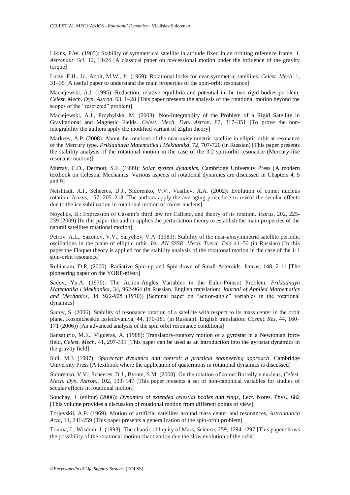Likins, P.W. (1965): Stability of symmetrical satellite in attitude fixed in an orbiting reference frame. *J. Astronaut. Sci*. 12, 18-24 [A classical paper on precessional motion under the influence of the gravity torque]

Lutze, F.H., Jr., Abbit, M.W., Jr. (1969): Rotational locks for near-symmetric satellites. *Celest. Mech*. 1, 31–35 [A useful paper to understand the main properties of the spin-orbit resonance]

Maciejewski, A.J. (1995): Reduction, relative equilibria and potential in the two rigid bodies problem. *Celest. Mech. Dyn. Astron*. 63, 1–28 [This paper presents the analysis of the rotational motion beyond the scopes of the "restricted" problem]

Maciejewski, A.J., Przybylska, M. (2003): Non-Integrability of the Problem of a Rigid Satellite in Gravitational and Magnetic Fields. *Celest. Mech. Dyn. Astron*. 87, 317–351 [To prove the nonintegrability the authors apply the modified variant of Ziglin theory]

Markeev, A.P. (2008): About the rotations of the near-axisymmetric satellite in elliptic orbit at resonance of the Mercury type. *Prikladnaya Matematika i Mekhanika*, 72, 707-720 (in Russian) [This paper presents the stability analysis of the rotational motion in the case of the 3:2 spin-orbit resonance (Mercury-like resonant rotation)]

Murray, C.D., Dermott, S.F. (1999): *Solar system dynamics*, Cambridge University Press [A modern textbook on Celestial Mechanics. Various aspects of rotational dynamics are discussed in Chapters 4, 5 and 9]

Neishtadt, A.I., Scheeres, D.J., Sidorenko, V.V., Vasiliev, A.A. (2002): Evolution of comet nucleus rotation. *Icarus*, 157, 205–218 [The authors apply the averaging procedure to reveal the secular effects due to the ice sublimation in rotational motion of comet nucleus]

Noyelles, B.: Expression of Cassini's third law for Callisto, and theory of its rotation. *Icarus*, 202, 225- 239 (2009) [In this paper the author applies the perturbation theory to establish the main properties of the natural satellites rotational motion]

Petrov, A.L., Sazonov, V.V., Sarychev, V.A. (1983): Stability of the near-axisymmetric satellite periodic oscillations in the plane of elliptic orbit. *Izv. AN SSSR. Mech. Tverd. Tela* 41–50 (in Russian) [In this paper the Floquet theory is applied for the stability analysis of the rotational motion in the case of the 1:1 spin-orbit resonance]

Rubincam, D.P. (2000): Radiative Spin-up and Spin-down of Small Asteroids. *Icarus*, 148, 2-11 [The pioneering paper on the YORP-effect]

Sadov, Yu.A. (1970): The Action-Angles Variables in the Euler-Poinsot Problem, *Prikladnaya Matematika i Mekhanika*, 34, 962-964 (in Russian. English translation: *Journal of Applied Mathematics and Mechanics*, 34, 922-925 (1970)) [Seminal paper on "action-angle" variables in the rotational dynamics]

Sadov, S. (2006): Stability of resonance rotation of a satellite with respect to its mass center in the orbit plane. Kosmicheskie Issledovaniya, 44, 170-181 (in Russian). English translation: *Cosmic Res*. 44, 160– 171 (2006)) [An advanced analysis of the spin orbit resonance conditions]

Sansaturio, M.E., Vigueras, A. (1988): Translatory-rotatory motion of a gyrostat in a Newtonian force field, *Celest. Mech*. 41, 297-311 [This paper can be used as an introduction into the gyrostat dynamics in the gravity field]

Sidi, M.J. (1997): *Spacecraft dynamics and control: a practical engineering approach*, Cambridge University Press [A textbook where the application of quaternions in rotational dynamics is discussed]

Sidorenko, V.V., Scheeres, D.J., Byram, S.M. (2008): On the rotation of comet Borrelly's nucleus, *Celest. Mech. Dyn. Astron.*, 102, 133–147 [This paper presents a set of non-canonical variables for studies of secular effects in rotational motion]

Souchay, J. (editor) (2006): *Dynamics of extended celestial bodies and rings*, Lect. Notes. Phys., 682 [This volume provides a discussion of rotational motion from different points of view]

Torjevskii, A.P. (1969): Motion of artificial satellites around mass center and resonances, *Astronautica Acta*, 14, 241-259 [This paper presents a generalization of the spin-orbit problem]

Touma, J., Wisdom, J. (1993): The chaotic obliquity of Mars, *Science*, 259, 1294-1297 [This paper shows the possibility of the rotational motion chaotization due the slow evolution of the orbit]